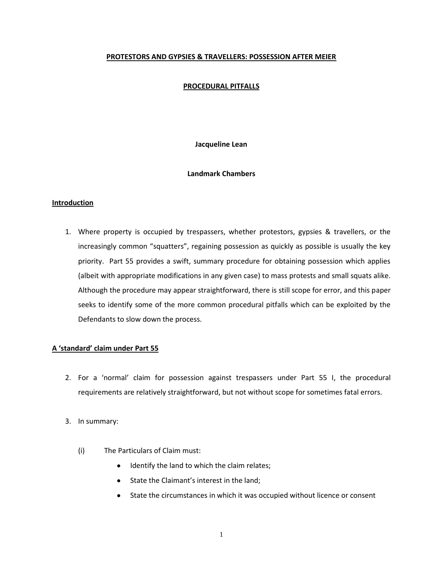## **PROTESTORS AND GYPSIES & TRAVELLERS: POSSESSION AFTER MEIER**

## **PROCEDURAL PITFALLS**

**Jacqueline Lean**

## **Landmark Chambers**

## **Introduction**

1. Where property is occupied by trespassers, whether protestors, gypsies & travellers, or the increasingly common "squatters", regaining possession as quickly as possible is usually the key priority. Part 55 provides a swift, summary procedure for obtaining possession which applies (albeit with appropriate modifications in any given case) to mass protests and small squats alike. Although the procedure may appear straightforward, there is still scope for error, and this paper seeks to identify some of the more common procedural pitfalls which can be exploited by the Defendants to slow down the process.

### **A 'standard' claim under Part 55**

- 2. For a 'normal' claim for possession against trespassers under Part 55 I, the procedural requirements are relatively straightforward, but not without scope for sometimes fatal errors.
- 3. In summary:
	- (i) The Particulars of Claim must:
		- Identify the land to which the claim relates;
		- State the Claimant's interest in the land;
		- State the circumstances in which it was occupied without licence or consent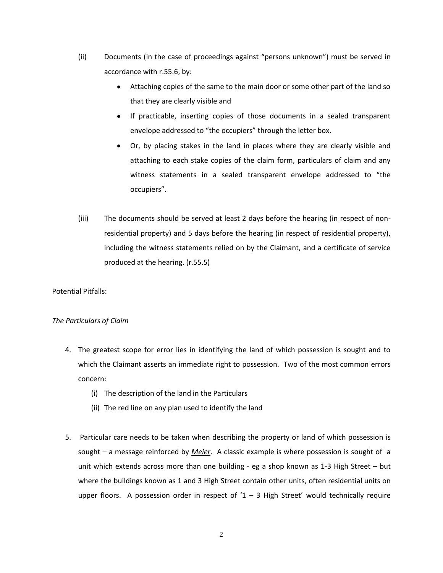- (ii) Documents (in the case of proceedings against "persons unknown") must be served in accordance with r.55.6, by:
	- Attaching copies of the same to the main door or some other part of the land so that they are clearly visible and
	- If practicable, inserting copies of those documents in a sealed transparent envelope addressed to "the occupiers" through the letter box.
	- Or, by placing stakes in the land in places where they are clearly visible and attaching to each stake copies of the claim form, particulars of claim and any witness statements in a sealed transparent envelope addressed to "the occupiers".
- (iii) The documents should be served at least 2 days before the hearing (in respect of nonresidential property) and 5 days before the hearing (in respect of residential property), including the witness statements relied on by the Claimant, and a certificate of service produced at the hearing. (r.55.5)

# Potential Pitfalls:

# *The Particulars of Claim*

- 4. The greatest scope for error lies in identifying the land of which possession is sought and to which the Claimant asserts an immediate right to possession. Two of the most common errors concern:
	- (i) The description of the land in the Particulars
	- (ii) The red line on any plan used to identify the land
- 5. Particular care needs to be taken when describing the property or land of which possession is sought – a message reinforced by *Meier*. A classic example is where possession is sought of a unit which extends across more than one building - eg a shop known as 1-3 High Street – but where the buildings known as 1 and 3 High Street contain other units, often residential units on upper floors. A possession order in respect of  $1 - 3$  High Street' would technically require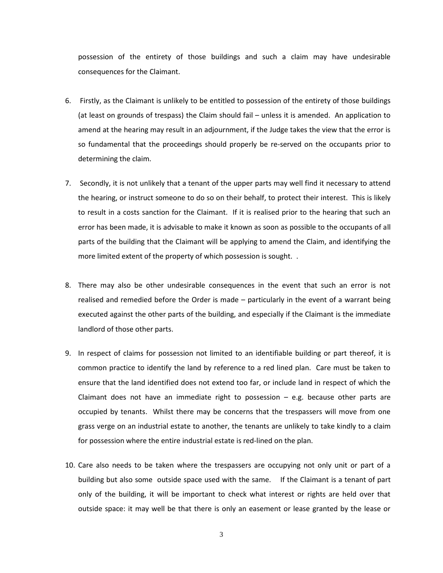possession of the entirety of those buildings and such a claim may have undesirable consequences for the Claimant.

- 6. Firstly, as the Claimant is unlikely to be entitled to possession of the entirety of those buildings (at least on grounds of trespass) the Claim should fail – unless it is amended. An application to amend at the hearing may result in an adjournment, if the Judge takes the view that the error is so fundamental that the proceedings should properly be re-served on the occupants prior to determining the claim.
- 7. Secondly, it is not unlikely that a tenant of the upper parts may well find it necessary to attend the hearing, or instruct someone to do so on their behalf, to protect their interest. This is likely to result in a costs sanction for the Claimant. If it is realised prior to the hearing that such an error has been made, it is advisable to make it known as soon as possible to the occupants of all parts of the building that the Claimant will be applying to amend the Claim, and identifying the more limited extent of the property of which possession is sought. .
- 8. There may also be other undesirable consequences in the event that such an error is not realised and remedied before the Order is made – particularly in the event of a warrant being executed against the other parts of the building, and especially if the Claimant is the immediate landlord of those other parts.
- 9. In respect of claims for possession not limited to an identifiable building or part thereof, it is common practice to identify the land by reference to a red lined plan. Care must be taken to ensure that the land identified does not extend too far, or include land in respect of which the Claimant does not have an immediate right to possession  $-$  e.g. because other parts are occupied by tenants. Whilst there may be concerns that the trespassers will move from one grass verge on an industrial estate to another, the tenants are unlikely to take kindly to a claim for possession where the entire industrial estate is red-lined on the plan.
- 10. Care also needs to be taken where the trespassers are occupying not only unit or part of a building but also some outside space used with the same. If the Claimant is a tenant of part only of the building, it will be important to check what interest or rights are held over that outside space: it may well be that there is only an easement or lease granted by the lease or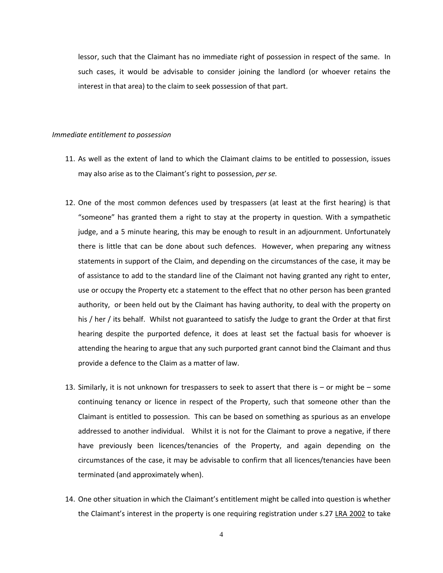lessor, such that the Claimant has no immediate right of possession in respect of the same. In such cases, it would be advisable to consider joining the landlord (or whoever retains the interest in that area) to the claim to seek possession of that part.

#### *Immediate entitlement to possession*

- 11. As well as the extent of land to which the Claimant claims to be entitled to possession, issues may also arise as to the Claimant's right to possession, *per se.*
- 12. One of the most common defences used by trespassers (at least at the first hearing) is that "someone" has granted them a right to stay at the property in question. With a sympathetic judge, and a 5 minute hearing, this may be enough to result in an adjournment. Unfortunately there is little that can be done about such defences. However, when preparing any witness statements in support of the Claim, and depending on the circumstances of the case, it may be of assistance to add to the standard line of the Claimant not having granted any right to enter, use or occupy the Property etc a statement to the effect that no other person has been granted authority, or been held out by the Claimant has having authority, to deal with the property on his / her / its behalf. Whilst not guaranteed to satisfy the Judge to grant the Order at that first hearing despite the purported defence, it does at least set the factual basis for whoever is attending the hearing to argue that any such purported grant cannot bind the Claimant and thus provide a defence to the Claim as a matter of law.
- 13. Similarly, it is not unknown for trespassers to seek to assert that there is  $-$  or might be  $-$  some continuing tenancy or licence in respect of the Property, such that someone other than the Claimant is entitled to possession. This can be based on something as spurious as an envelope addressed to another individual. Whilst it is not for the Claimant to prove a negative, if there have previously been licences/tenancies of the Property, and again depending on the circumstances of the case, it may be advisable to confirm that all licences/tenancies have been terminated (and approximately when).
- 14. One other situation in which the Claimant's entitlement might be called into question is whether the Claimant's interest in the property is one requiring registration under s.27 LRA 2002 to take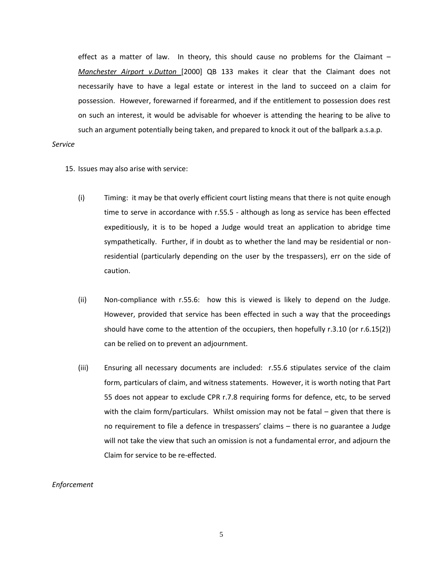effect as a matter of law. In theory, this should cause no problems for the Claimant  $-$ *Manchester Airport v.Dutton* [2000] QB 133 makes it clear that the Claimant does not necessarily have to have a legal estate or interest in the land to succeed on a claim for possession. However, forewarned if forearmed, and if the entitlement to possession does rest on such an interest, it would be advisable for whoever is attending the hearing to be alive to such an argument potentially being taken, and prepared to knock it out of the ballpark a.s.a.p.

### *Service*

- 15. Issues may also arise with service:
	- (i) Timing: it may be that overly efficient court listing means that there is not quite enough time to serve in accordance with r.55.5 - although as long as service has been effected expeditiously, it is to be hoped a Judge would treat an application to abridge time sympathetically. Further, if in doubt as to whether the land may be residential or nonresidential (particularly depending on the user by the trespassers), err on the side of caution.
	- (ii) Non-compliance with r.55.6: how this is viewed is likely to depend on the Judge. However, provided that service has been effected in such a way that the proceedings should have come to the attention of the occupiers, then hopefully r.3.10 (or r.6.15(2)) can be relied on to prevent an adjournment.
	- (iii) Ensuring all necessary documents are included: r.55.6 stipulates service of the claim form, particulars of claim, and witness statements. However, it is worth noting that Part 55 does not appear to exclude CPR r.7.8 requiring forms for defence, etc, to be served with the claim form/particulars. Whilst omission may not be fatal  $-$  given that there is no requirement to file a defence in trespassers' claims – there is no guarantee a Judge will not take the view that such an omission is not a fundamental error, and adjourn the Claim for service to be re-effected.

#### *Enforcement*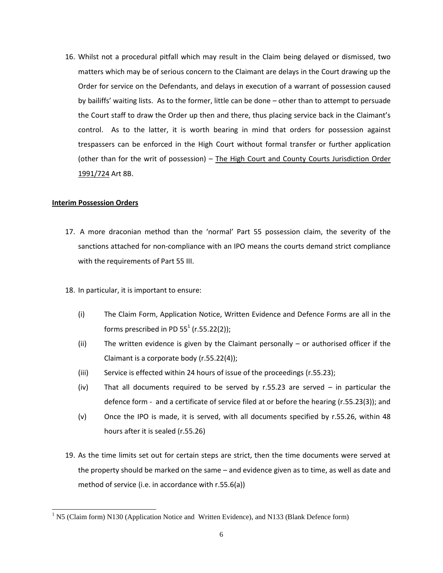16. Whilst not a procedural pitfall which may result in the Claim being delayed or dismissed, two matters which may be of serious concern to the Claimant are delays in the Court drawing up the Order for service on the Defendants, and delays in execution of a warrant of possession caused by bailiffs' waiting lists. As to the former, little can be done – other than to attempt to persuade the Court staff to draw the Order up then and there, thus placing service back in the Claimant's control. As to the latter, it is worth bearing in mind that orders for possession against trespassers can be enforced in the High Court without formal transfer or further application (other than for the writ of possession) – The High Court and County Courts Jurisdiction Order 1991/724 Art 8B.

## **Interim Possession Orders**

 $\overline{a}$ 

- 17. A more draconian method than the 'normal' Part 55 possession claim, the severity of the sanctions attached for non-compliance with an IPO means the courts demand strict compliance with the requirements of Part 55 III.
- 18. In particular, it is important to ensure:
	- (i) The Claim Form, Application Notice, Written Evidence and Defence Forms are all in the forms prescribed in PD 55 $^1$  (r.55.22(2));
	- (ii) The written evidence is given by the Claimant personally or authorised officer if the Claimant is a corporate body (r.55.22(4));
	- (iii) Service is effected within 24 hours of issue of the proceedings (r.55.23);
	- $(iv)$  That all documents required to be served by r.55.23 are served in particular the defence form - and a certificate of service filed at or before the hearing (r.55.23(3)); and
	- (v) Once the IPO is made, it is served, with all documents specified by r.55.26, within 48 hours after it is sealed (r.55.26)
- 19. As the time limits set out for certain steps are strict, then the time documents were served at the property should be marked on the same – and evidence given as to time, as well as date and method of service (i.e. in accordance with r.55.6(a))

 $1$  N5 (Claim form) N130 (Application Notice and Written Evidence), and N133 (Blank Defence form)